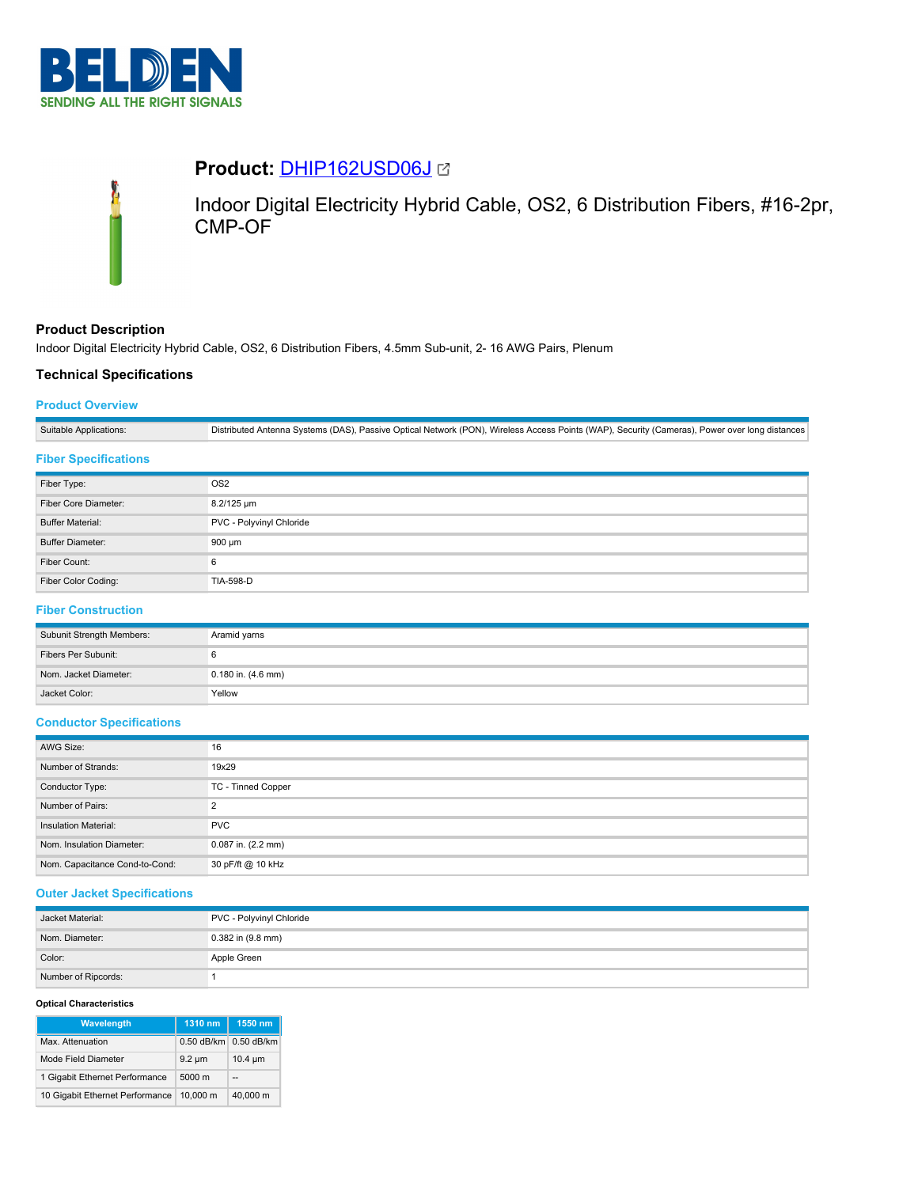

# **Product:** [DHIP162USD06J](https://catalog.belden.com/index.cfm?event=pd&p=PF_DHIP162USD06J&tab=downloads)



Indoor Digital Electricity Hybrid Cable, OS2, 6 Distribution Fibers, #16-2pr, CMP-OF

# **Product Description**

Indoor Digital Electricity Hybrid Cable, OS2, 6 Distribution Fibers, 4.5mm Sub-unit, 2- 16 AWG Pairs, Plenum

# **Technical Specifications**

## **Product Overview**

| Suitable Applications: | Distributed Antenna Systems (DAS), Passive Optical Network (PON), Wireless Access Points (WAP), Security (Cameras), Power over long distances |
|------------------------|-----------------------------------------------------------------------------------------------------------------------------------------------|

## **Fiber Specifications**

| Fiber Type:             | OS <sub>2</sub>          |
|-------------------------|--------------------------|
| Fiber Core Diameter:    | 8.2/125 um               |
| <b>Buffer Material:</b> | PVC - Polyvinyl Chloride |
| <b>Buffer Diameter:</b> | 900 µm                   |
| Fiber Count:            | 6                        |
| Fiber Color Coding:     | TIA-598-D                |

# **Fiber Construction**

| Subunit Strength Members: | Aramid yarns           |
|---------------------------|------------------------|
| Fibers Per Subunit:       |                        |
| Nom, Jacket Diameter:     | $0.180$ in. $(4.6$ mm) |
| Jacket Color:             | Yellow                 |

## **Conductor Specifications**

| AWG Size:                      | 16                     |
|--------------------------------|------------------------|
| Number of Strands:             | 19x29                  |
| Conductor Type:                | TC - Tinned Copper     |
| Number of Pairs:               |                        |
| Insulation Material:           | <b>PVC</b>             |
| Nom. Insulation Diameter:      | $0.087$ in. $(2.2$ mm) |
| Nom. Capacitance Cond-to-Cond: | 30 pF/ft @ 10 kHz      |

## **Outer Jacket Specifications**

| Jacket Material:    | PVC - Polyvinyl Chloride |
|---------------------|--------------------------|
| Nom. Diameter:      | $0.382$ in $(9.8$ mm)    |
| Color:              | Apple Green              |
| Number of Ripcords: |                          |

## **Optical Characteristics**

| Wavelength                      | $1310$ nm        | 1550 nm      |
|---------------------------------|------------------|--------------|
| Max. Attenuation                | $0.50$ dB/km     | $0.50$ dB/km |
| Mode Field Diameter             | $9.2 \mu m$      | $10.4 \mu m$ |
| 1 Gigabit Ethernet Performance  | $5000 \text{ m}$ |              |
| 10 Gigabit Ethernet Performance | 10.000 m         | 40.000 m     |